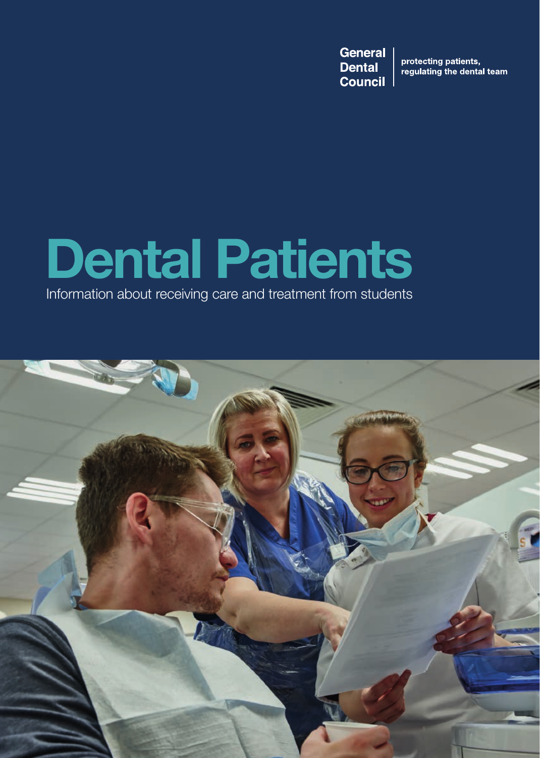**General Dental Council** 

protecting patients,<br>regulating the dental team

# **Dental Patients**

Information about receiving care and treatment from students

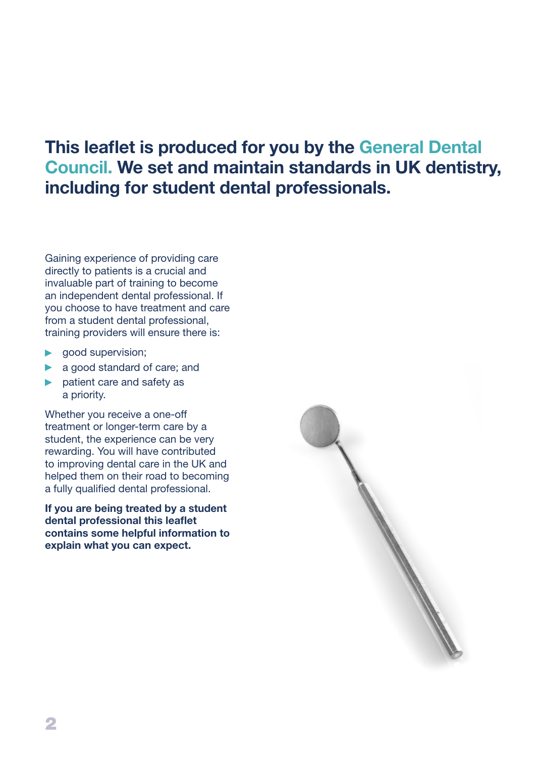## **This leaflet is produced for you by the General Dental Council. We set and maintain standards in UK dentistry, including for student dental professionals.**

Gaining experience of providing care directly to patients is a crucial and invaluable part of training to become an independent dental professional. If you choose to have treatment and care from a student dental professional, training providers will ensure there is:

- **good supervision;**
- a good standard of care; and
- **Demonstrate and safety as** a priority.

Whether you receive a one-off treatment or longer-term care by a student, the experience can be very rewarding. You will have contributed to improving dental care in the UK and helped them on their road to becoming a fully qualified dental professional.

**If you are being treated by a student dental professional this leaflet contains some helpful information to explain what you can expect.**

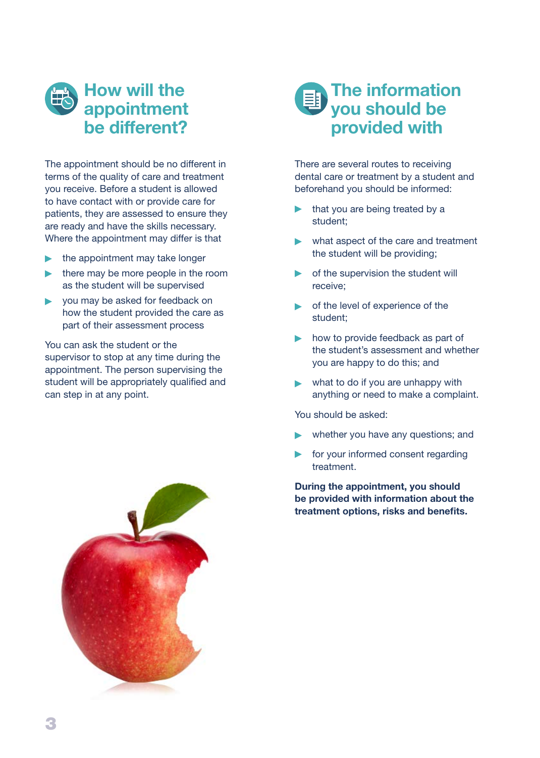## **How will the appointment be different?**

The appointment should be no different in terms of the quality of care and treatment you receive. Before a student is allowed to have contact with or provide care for patients, they are assessed to ensure they are ready and have the skills necessary. Where the appointment may differ is that

- the appointment may take longer
- $\blacktriangleright$  there may be more people in the room as the student will be supervised
- you may be asked for feedback on  $\blacktriangleright$ how the student provided the care as part of their assessment process

You can ask the student or the supervisor to stop at any time during the appointment. The person supervising the student will be appropriately qualified and can step in at any point.





There are several routes to receiving dental care or treatment by a student and beforehand you should be informed:

- that you are being treated by a student;
- what aspect of the care and treatment the student will be providing;
- **•** of the supervision the student will receive;
- **•** of the level of experience of the student;
- how to provide feedback as part of the student's assessment and whether you are happy to do this; and
- what to do if you are unhappy with anything or need to make a complaint.

You should be asked:

- whether you have any questions; and
- for your informed consent regarding treatment.

**During the appointment, you should be provided with information about the treatment options, risks and benefits.**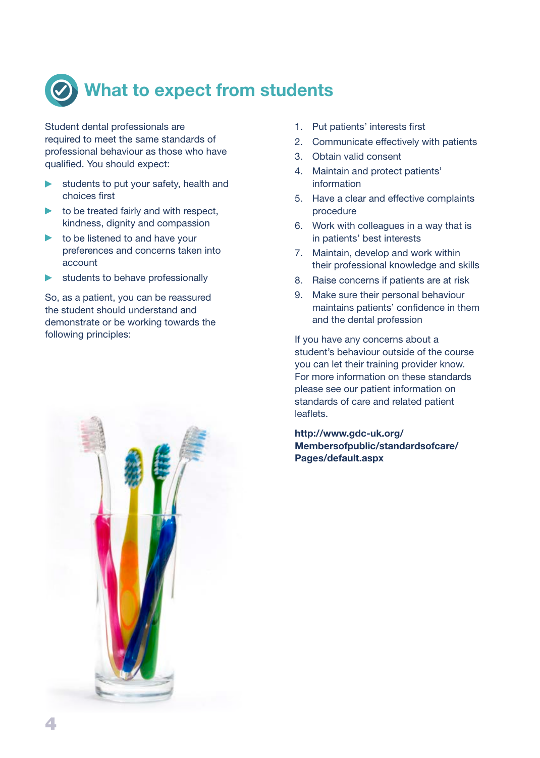

Student dental professionals are required to meet the same standards of professional behaviour as those who have qualified. You should expect:

- students to put your safety, health and ь choices first
- $\triangleright$  to be treated fairly and with respect, kindness, dignity and compassion
- to be listened to and have your  $\blacktriangleright$ preferences and concerns taken into account
- students to behave professionally  $\blacktriangleright$

So, as a patient, you can be reassured the student should understand and demonstrate or be working towards the following principles:

- 1. Put patients' interests first
- 2. Communicate effectively with patients
- 3. Obtain valid consent
- 4. Maintain and protect patients' information
- 5. Have a clear and effective complaints procedure
- 6. Work with colleagues in a way that is in patients' best interests
- 7. Maintain, develop and work within their professional knowledge and skills
- 8. Raise concerns if patients are at risk
- 9. Make sure their personal behaviour maintains patients' confidence in them and the dental profession

If you have any concerns about a student's behaviour outside of the course you can let their training provider know. For more information on these standards please see our patient information on standards of care and related patient leaflets.

**[http://www.gdc-uk.org/](http://www.gdc-uk.org/Membersofpublic/standardsofcare/Pages/default.aspx) [Membersofpublic/standardsofcare/](http://www.gdc-uk.org/Membersofpublic/standardsofcare/Pages/default.aspx) [Pages/default.aspx](http://www.gdc-uk.org/Membersofpublic/standardsofcare/Pages/default.aspx)**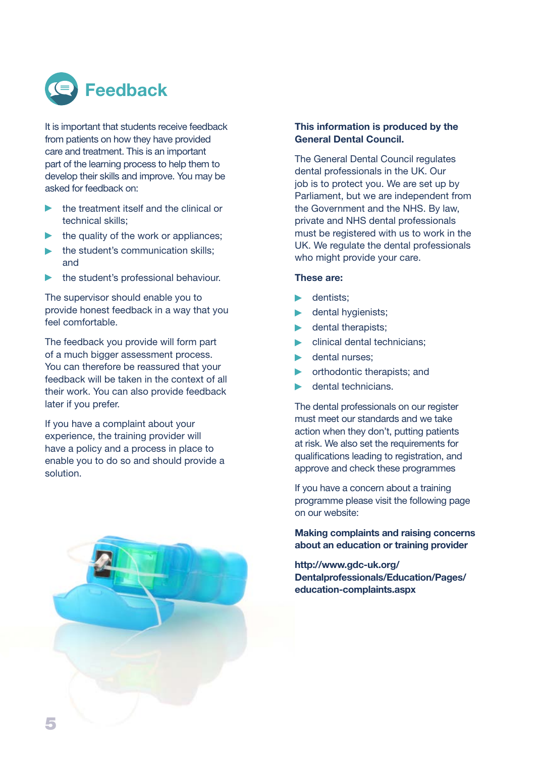

It is important that students receive feedback from patients on how they have provided care and treatment. This is an important part of the learning process to help them to develop their skills and improve. You may be asked for feedback on:

- the treatment itself and the clinical or b. technical skills;
- $\blacktriangleright$  the quality of the work or appliances:
- the student's communication skills;  $\blacktriangleright$ and
- the student's professional behaviour.  $\blacktriangleright$

The supervisor should enable you to provide honest feedback in a way that you feel comfortable.

The feedback you provide will form part of a much bigger assessment process. You can therefore be reassured that your feedback will be taken in the context of all their work. You can also provide feedback later if you prefer.

If you have a complaint about your experience, the training provider will have a policy and a process in place to enable you to do so and should provide a solution.



#### **This information is produced by the General Dental Council.**

The General Dental Council regulates dental professionals in the UK. Our job is to protect you. We are set up by Parliament, but we are independent from the Government and the NHS. By law, private and NHS dental professionals must be registered with us to work in the UK. We regulate the dental professionals who might provide your care.

#### **These are:**

- **Dentists:**
- dental hygienists;
- dental therapists;  $\blacktriangleright$
- clinical dental technicians;
- **dental nurses;**
- orthodontic therapists; and  $\blacktriangleright$
- dental technicians.

The dental professionals on our register must meet our standards and we take action when they don't, putting patients at risk. We also set the requirements for qualifications leading to registration, and approve and check these programmes

If you have a concern about a training programme please visit the following page on our website:

**Making complaints and raising concerns about an education or training provider**

**[http://www.gdc-uk.org/](http://www.gdc-uk.org/Dentalprofessionals/Education/Pages/education-complaints.aspx) [Dentalprofessionals/Education/Pages/](http://www.gdc-uk.org/Dentalprofessionals/Education/Pages/education-complaints.aspx) [education-complaints.aspx](http://www.gdc-uk.org/Dentalprofessionals/Education/Pages/education-complaints.aspx)**